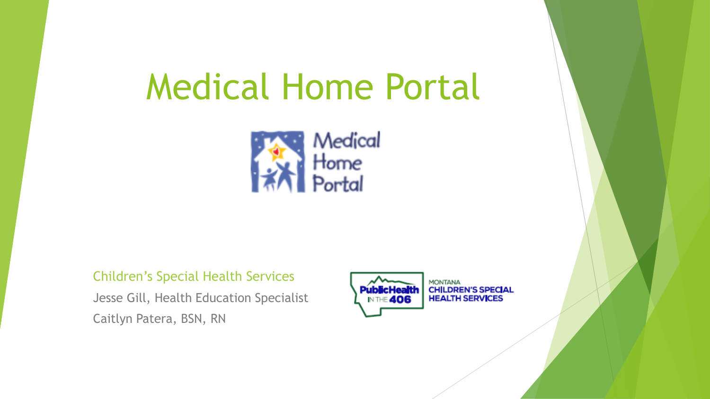# Medical Home Portal



#### Children's Special Health Services

Jesse Gill, Health Education Specialist Caitlyn Patera, BSN, RN



**CHILDREN'S SPECIAL HEALTH SERVICES**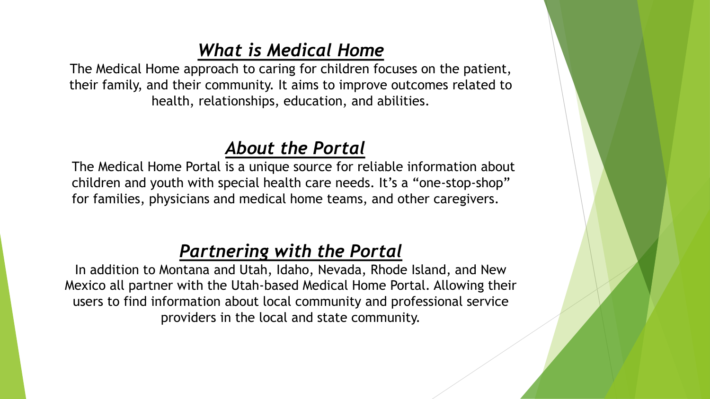# *What is Medical Home*

The Medical Home approach to caring for children focuses on the patient, their family, and their community. It aims to improve outcomes related to health, relationships, education, and abilities.

# *About the Portal*

The Medical Home Portal is a unique source for reliable information about children and youth with special health care needs. It's a "one-stop-shop" for families, physicians and medical home teams, and other caregivers.

# *Partnering with the Portal*

In addition to Montana and Utah, Idaho, Nevada, Rhode Island, and New Mexico all partner with the Utah-based Medical Home Portal. Allowing their users to find information about local community and professional service providers in the local and state community.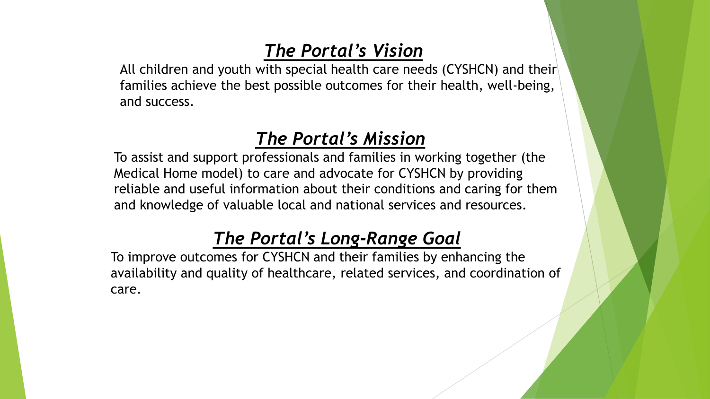# *The Portal's Vision*

All children and youth with special health care needs (CYSHCN) and their families achieve the best possible outcomes for their health, well-being, and success.

## *The Portal's Mission*

To assist and support professionals and families in working together (the Medical Home model) to care and advocate for CYSHCN by providing reliable and useful information about their conditions and caring for them and knowledge of valuable local and national services and resources.

# *The Portal's Long-Range Goal*

To improve outcomes for CYSHCN and their families by enhancing the availability and quality of healthcare, related services, and coordination of care.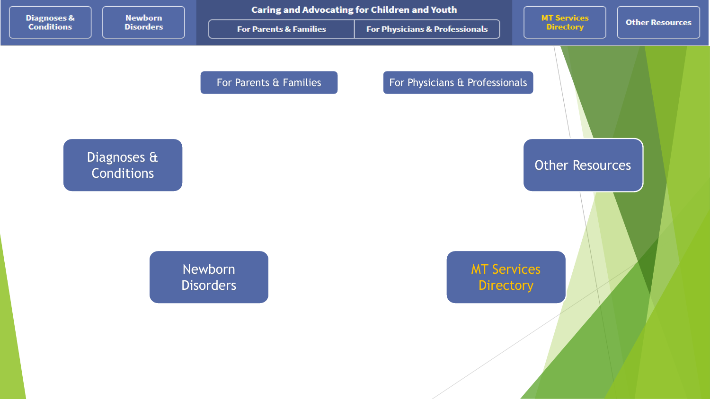